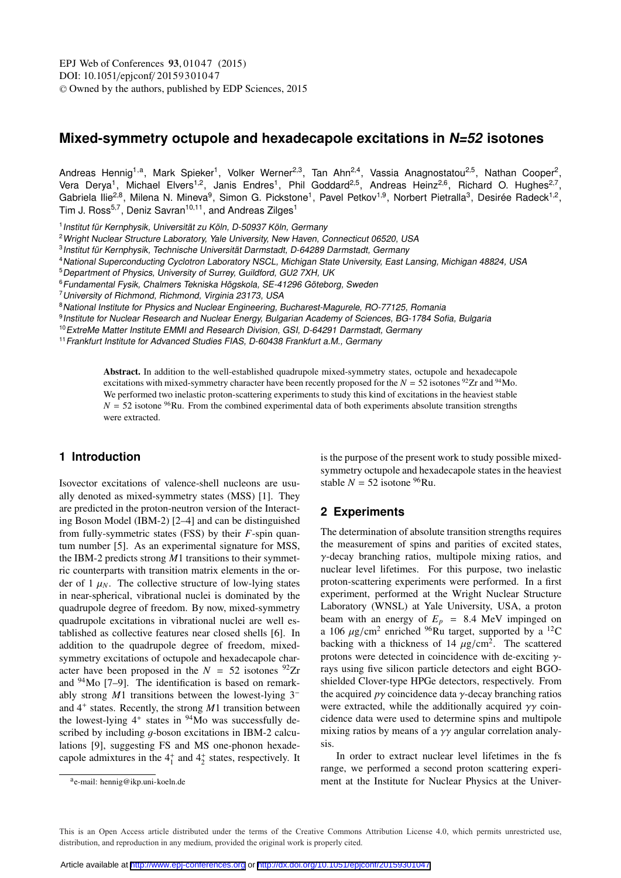# **Mixed-symmetry octupole and hexadecapole excitations in N=52 isotones**

Andreas Hennig<sup>1,a</sup>, Mark Spieker<sup>1</sup>, Volker Werner<sup>2,3</sup>, Tan Ahn<sup>2,4</sup>, Vassia Anagnostatou<sup>2,5</sup>, Nathan Cooper<sup>2</sup>, Vera Derya<sup>1</sup>, Michael Elvers<sup>1,2</sup>, Janis Endres<sup>1</sup>, Phil Goddard<sup>2,5</sup>, Andreas Heinz<sup>2,6</sup>, Richard O. Hughes<sup>2,7</sup>, Gabriela Ilie<sup>2,8</sup>, Milena N. Mineva<sup>9</sup>, Simon G. Pickstone<sup>1</sup>, Pavel Petkov<sup>1,9</sup>, Norbert Pietralla<sup>3</sup>, Desirée Radeck<sup>1,2</sup>, Tim J. Ross<sup>5,7</sup>, Deniz Savran<sup>10,11</sup>, and Andreas Zilges<sup>1</sup>

<sup>1</sup> Institut für Kernphysik, Universität zu Köln, D-50937 Köln, Germany

<sup>2</sup> Wright Nuclear Structure Laboratory, Yale University, New Haven, Connecticut 06520, USA

<sup>3</sup> Institut für Kernphysik, Technische Universität Darmstadt, D-64289 Darmstadt, Germany

<sup>4</sup>National Superconducting Cyclotron Laboratory NSCL, Michigan State University, East Lansing, Michigan 48824, USA

<sup>5</sup>Department of Physics, University of Surrey, Guildford, GU2 7XH, UK

<sup>6</sup> Fundamental Fysik, Chalmers Tekniska Högskola, SE-41296 Göteborg, Sweden

<sup>7</sup>University of Richmond, Richmond, Virginia 23173, USA

<sup>8</sup> National Institute for Physics and Nuclear Engineering, Bucharest-Magurele, RO-77125, Romania

9 Institute for Nuclear Research and Nuclear Energy, Bulgarian Academy of Sciences, BG-1784 Sofia, Bulgaria

<sup>10</sup> ExtreMe Matter Institute EMMI and Research Division, GSI, D-64291 Darmstadt, Germany

<sup>11</sup> Frankfurt Institute for Advanced Studies FIAS, D-60438 Frankfurt a.M., Germany

Abstract. In addition to the well-established quadrupole mixed-symmetry states, octupole and hexadecapole excitations with mixed-symmetry character have been recently proposed for the  $N = 52$  isotones  $^{92}Zr$  and  $^{94}Mo$ . We performed two inelastic proton-scattering experiments to study this kind of excitations in the heaviest stable  $N = 52$  isotone <sup>96</sup>Ru. From the combined experimental data of both experiments absolute transition strengths were extracted.

# **1 Introduction**

Isovector excitations of valence-shell nucleons are usually denoted as mixed-symmetry states (MSS) [1]. They are predicted in the proton-neutron version of the Interacting Boson Model (IBM-2) [2–4] and can be distinguished from fully-symmetric states (FSS) by their *F*-spin quantum number [5]. As an experimental signature for MSS, the IBM-2 predicts strong *M*1 transitions to their symmetric counterparts with transition matrix elements in the order of 1  $\mu_N$ . The collective structure of low-lying states in near-spherical, vibrational nuclei is dominated by the quadrupole degree of freedom. By now, mixed-symmetry quadrupole excitations in vibrational nuclei are well established as collective features near closed shells [6]. In addition to the quadrupole degree of freedom, mixedsymmetry excitations of octupole and hexadecapole character have been proposed in the  $N = 52$  isotones <sup>92</sup>Zr and  $94$ Mo [7–9]. The identification is based on remarkably strong *M*1 transitions between the lowest-lying 3<sup>−</sup> and 4<sup>+</sup> states. Recently, the strong *M*1 transition between the lowest-lying  $4^+$  states in  $94$ Mo was successfully described by including *g*-boson excitations in IBM-2 calculations [9], suggesting FS and MS one-phonon hexadecapole admixtures in the  $4^{\dagger}$  and  $4^{\dagger}$  states, respectively. It

is the purpose of the present work to study possible mixedsymmetry octupole and hexadecapole states in the heaviest stable  $N = 52$  isotone <sup>96</sup>Ru.

# **2 Experiments**

The determination of absolute transition strengths requires the measurement of spins and parities of excited states,  $\gamma$ -decay branching ratios, multipole mixing ratios, and nuclear level lifetimes. For this purpose, two inelastic proton-scattering experiments were performed. In a first experiment, performed at the Wright Nuclear Structure Laboratory (WNSL) at Yale University, USA, a proton beam with an energy of  $E_p$  = 8.4 MeV impinged on a 106  $\mu$ g/cm<sup>2</sup> enriched <sup>96</sup>Ru target, supported by a <sup>12</sup>C backing with a thickness of 14  $\mu$ g/cm<sup>2</sup>. The scattered protons were detected in coincidence with de-exciting  $\gamma$ rays using five silicon particle detectors and eight BGOshielded Clover-type HPGe detectors, respectively. From the acquired *<sup>p</sup>*γ coincidence data γ-decay branching ratios were extracted, while the additionally acquired  $\gamma\gamma$  coincidence data were used to determine spins and multipole mixing ratios by means of a  $\gamma\gamma$  angular correlation analysis.

In order to extract nuclear level lifetimes in the fs range, we performed a second proton scattering experiment at the Institute for Nuclear Physics at the Univer-

This is an Open Access article distributed under the terms of the Creative Commons Attribution License 4.0, which permits unrestricted use. distribution, and reproduction in any medium, provided the original work is properly cited.

ae-mail: hennig@ikp.uni-koeln.de